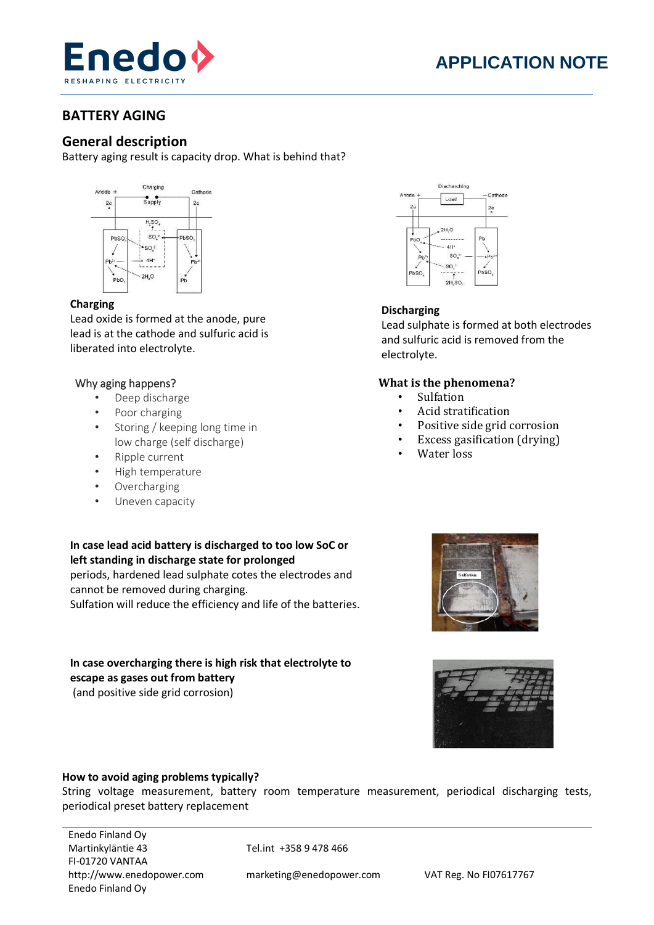

# **BATTERY AGING**

# **General description**

Battery aging result is capacity drop. What is behind that?



## **Charging**

Lead oxide is formed at the anode, pure lead is at the cathode and sulfuric acid is liberated into electrolyte.

## Why aging happens?

- Deep discharge
- Poor charging
- Storing / keeping long time in low charge (self discharge)
- Ripple current
- High temperature
- Overcharging
- Uneven capacity

**In case lead acid battery is discharged to too low SoC or left standing in discharge state for prolonged**  periods, hardened lead sulphate cotes the electrodes and cannot be removed during charging.

Sulfation will reduce the efficiency and life of the batteries.

### **In case overcharging there is high risk that electrolyte to escape as gases out from battery** (and positive side grid corrosion)



# **Discharging**

Lead sulphate is formed at both electrodes and sulfuric acid is removed from the electrolyte.

# **What is the phenomena?**

- Sulfation
- Acid stratification
- Positive side grid corrosion
- Excess gasification (drying)
- Water loss





#### **How to avoid aging problems typically?**

String voltage measurement, battery room temperature measurement, periodical discharging tests, periodical preset battery replacement

Enedo Finland Oy Martinkyläntie 43 Tel.int +358 9 478 466 FI-01720 VANTAA http://www.enedopower.com marketing@enedopower.com VAT Reg. No FI07617767 Enedo Finland Oy